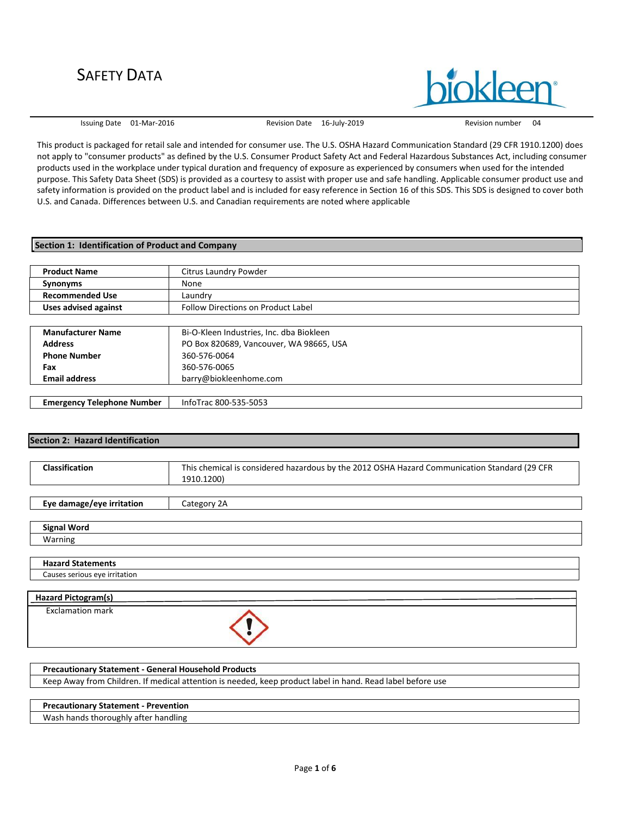Issuing Date 01-Mar-2016 Revision Date 16-July-2019 Revision number 04

**inkleer** 

This product is packaged for retail sale and intended for consumer use. The U.S. OSHA Hazard Communication Standard (29 CFR 1910.1200) does not apply to "consumer products" as defined by the U.S. Consumer Product Safety Act and Federal Hazardous Substances Act, including consumer products used in the workplace under typical duration and frequency of exposure as experienced by consumers when used for the intended purpose. This Safety Data Sheet (SDS) is provided as a courtesy to assist with proper use and safe handling. Applicable consumer product use and safety information is provided on the product label and is included for easy reference in Section 16 of this SDS. This SDS is designed to cover both U.S. and Canada. Differences between U.S. and Canadian requirements are noted where applicable

#### **Section 1: Identification of Product and Company**

| <b>Product Name</b>      | Citrus Laundry Powder                     |
|--------------------------|-------------------------------------------|
| Synonyms                 | None                                      |
| <b>Recommended Use</b>   | Laundry                                   |
| Uses advised against     | <b>Follow Directions on Product Label</b> |
|                          |                                           |
| <b>Manufacturer Name</b> | Bi-O-Kleen Industries, Inc. dba Biokleen  |
| <b>Address</b>           | PO Box 820689, Vancouver, WA 98665, USA   |
| <b>Phone Number</b>      | 360-576-0064                              |
| Fax                      | 360-576-0065                              |

| Emergency<br>Telephone Number | -5053<br>oTrac<br>Into <sup>-</sup><br>800-5<br>╮ |
|-------------------------------|---------------------------------------------------|
|                               |                                                   |

barry@biokleenhome.com

## **Section 2: Hazard Identification**

Causes serious eye irritation

**Email address**

| <b>Classification</b>     | This chemical is considered hazardous by the 2012 OSHA Hazard Communication Standard (29 CFR |
|---------------------------|----------------------------------------------------------------------------------------------|
|                           | 1910.1200)                                                                                   |
|                           |                                                                                              |
| Eye damage/eye irritation | Category 2A                                                                                  |
|                           |                                                                                              |
| <b>Signal Word</b>        |                                                                                              |
| Warning                   |                                                                                              |
|                           |                                                                                              |
| <b>Hazard Statements</b>  |                                                                                              |

| <b>Hazard Pictogram(s)</b> |  |  |
|----------------------------|--|--|
|                            |  |  |
| <b>Exclamation mark</b>    |  |  |

| <b>Precautionary Statement - General Household Products</b>                                                |
|------------------------------------------------------------------------------------------------------------|
| Keep Away from Children. If medical attention is needed, keep product label in hand. Read label before use |
|                                                                                                            |
| <b>Precautionary Statement - Prevention</b>                                                                |
| Wash hands thoroughly after handling                                                                       |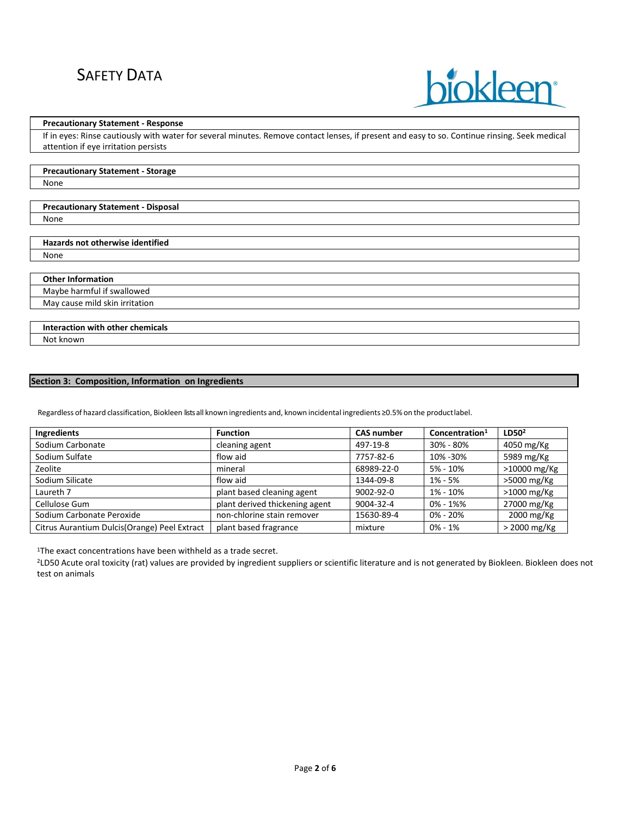

#### **Precautionary Statement - Response**

**Precautionary Statement - Storage**

If in eyes: Rinse cautiously with water for several minutes. Remove contact lenses, if present and easy to so. Continue rinsing. Seek medical attention if eye irritation persists

| None                                      |  |
|-------------------------------------------|--|
|                                           |  |
| <b>Precautionary Statement - Disposal</b> |  |
| None                                      |  |
|                                           |  |
| Hazards not otherwise identified          |  |
| None                                      |  |
|                                           |  |
| <b>Other Information</b>                  |  |
| Maybe harmful if swallowed                |  |
| May cause mild skin irritation            |  |

**Interaction with other chemicals** Not known

## **Section 3: Composition, Information on Ingredients**

Regardless of hazard classification, Biokleen lists all known ingredients and, known incidental ingredients ≥0.5% on the productlabel.

| <b>Ingredients</b>                            | <b>Function</b>                | <b>CAS number</b> | Concentration <sup>1</sup> | LD50 <sup>2</sup> |
|-----------------------------------------------|--------------------------------|-------------------|----------------------------|-------------------|
| Sodium Carbonate                              | cleaning agent                 | 497-19-8          | 30% - 80%                  | 4050 mg/Kg        |
| Sodium Sulfate                                | flow aid                       | 7757-82-6         | 10% - 30%                  | 5989 mg/Kg        |
| Zeolite                                       | mineral                        | 68989-22-0        | $5% - 10%$                 | >10000 mg/Kg      |
| Sodium Silicate                               | flow aid                       | 1344-09-8         | $1\% - 5\%$                | >5000 mg/Kg       |
| Laureth 7                                     | plant based cleaning agent     | $9002 - 92 - 0$   | 1% - 10%                   | $>1000$ mg/Kg     |
| Cellulose Gum                                 | plant derived thickening agent | 9004-32-4         | $0\% - 1\%$                | 27000 mg/Kg       |
| Sodium Carbonate Peroxide                     | non-chlorine stain remover     | 15630-89-4        | $0\% - 20\%$               | 2000 mg/Kg        |
| Citrus Aurantium Dulcis (Orange) Peel Extract | plant based fragrance          | mixture           | $0\% - 1\%$                | > 2000 mg/Kg      |

<sup>1</sup>The exact concentrations have been withheld as a trade secret.

<sup>2</sup>LD50 Acute oral toxicity (rat) values are provided by ingredient suppliers or scientific literature and is not generated by Biokleen. Biokleen does not test on animals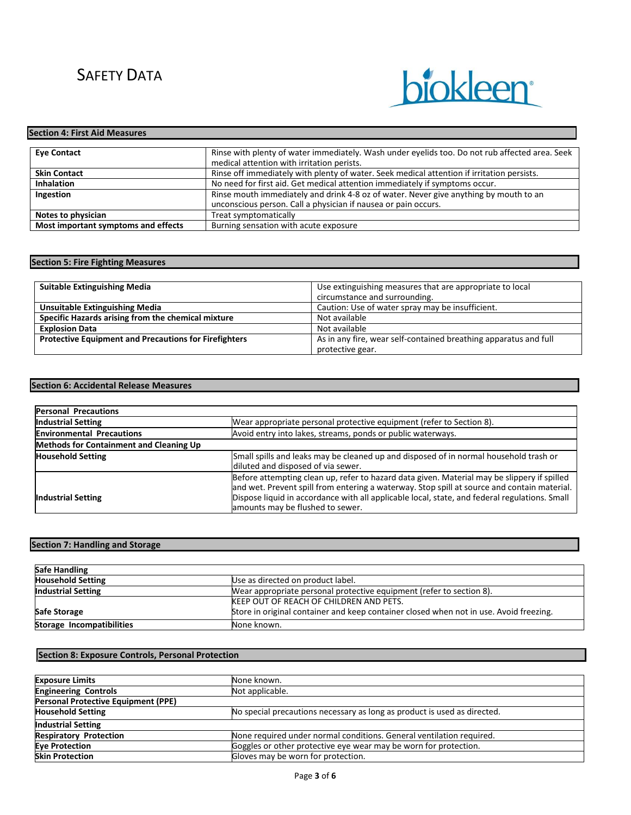

## **Eye Contact Rinse with plenty of water immediately. Wash under eyelids too. Do not rub affected area. Seek** medical attention with irritation perists. **Skin Contact Rinse off immediately with plenty of water. Seek medical attention if irritation persists. Inhalation** No need for first aid. Get medical attention immediately if symptoms occur. **Ingestion Rinse mouth immediately and drink 4-8 oz of water. Never give anything by mouth to an** unconscious person. Call a physician if nausea or pain occurs. **Notes to physician**<br> **Nost important symptoms and effects**<br> **Example 18 Burning sensation with acute exposure Most important symptoms and effects Section 4: First Aid Measures**

## **Section 5: Fire Fighting Measures**

| <b>Suitable Extinguishing Media</b>                          | Use extinguishing measures that are appropriate to local         |  |
|--------------------------------------------------------------|------------------------------------------------------------------|--|
|                                                              | circumstance and surrounding.                                    |  |
| <b>Unsuitable Extinguishing Media</b>                        | Caution: Use of water spray may be insufficient.                 |  |
| Specific Hazards arising from the chemical mixture           | Not available                                                    |  |
| <b>Explosion Data</b>                                        | Not available                                                    |  |
| <b>Protective Equipment and Precautions for Firefighters</b> | As in any fire, wear self-contained breathing apparatus and full |  |
|                                                              | protective gear.                                                 |  |

#### **Section 6: Accidental Release Measures**

| <b>Personal Precautions</b>             |                                                                                                                                                                                                                                                                                                                                 |  |  |
|-----------------------------------------|---------------------------------------------------------------------------------------------------------------------------------------------------------------------------------------------------------------------------------------------------------------------------------------------------------------------------------|--|--|
| <b>Industrial Setting</b>               | Wear appropriate personal protective equipment (refer to Section 8).                                                                                                                                                                                                                                                            |  |  |
| <b>Environmental Precautions</b>        | Avoid entry into lakes, streams, ponds or public waterways.                                                                                                                                                                                                                                                                     |  |  |
| Methods for Containment and Cleaning Up |                                                                                                                                                                                                                                                                                                                                 |  |  |
| <b>Household Setting</b>                | Small spills and leaks may be cleaned up and disposed of in normal household trash or<br>diluted and disposed of via sewer.                                                                                                                                                                                                     |  |  |
| <b>Industrial Setting</b>               | Before attempting clean up, refer to hazard data given. Material may be slippery if spilled<br>and wet. Prevent spill from entering a waterway. Stop spill at source and contain material.<br>Dispose liquid in accordance with all applicable local, state, and federal regulations. Small<br>amounts may be flushed to sewer. |  |  |

## **Section 7: Handling and Storage**

| <b>Safe Handling</b>      |                                                                                        |
|---------------------------|----------------------------------------------------------------------------------------|
| <b>Household Setting</b>  | Use as directed on product label.                                                      |
| <b>Industrial Setting</b> | Wear appropriate personal protective equipment (refer to section 8).                   |
|                           | KEEP OUT OF REACH OF CHILDREN AND PETS.                                                |
| Safe Storage              | Store in original container and keep container closed when not in use. Avoid freezing. |
| Storage Incompatibilities | None known.                                                                            |

#### **Section 8: Exposure Controls, Personal Protection**

| <b>Exposure Limits</b>              | None known.                                                              |  |
|-------------------------------------|--------------------------------------------------------------------------|--|
| <b>Engineering Controls</b>         | Not applicable.                                                          |  |
| Personal Protective Equipment (PPE) |                                                                          |  |
| <b>Household Setting</b>            | No special precautions necessary as long as product is used as directed. |  |
| <b>Industrial Setting</b>           |                                                                          |  |
| <b>Respiratory Protection</b>       | None required under normal conditions. General ventilation required.     |  |
| <b>Eve Protection</b>               | Goggles or other protective eye wear may be worn for protection.         |  |
| <b>Skin Protection</b>              | Gloves may be worn for protection.                                       |  |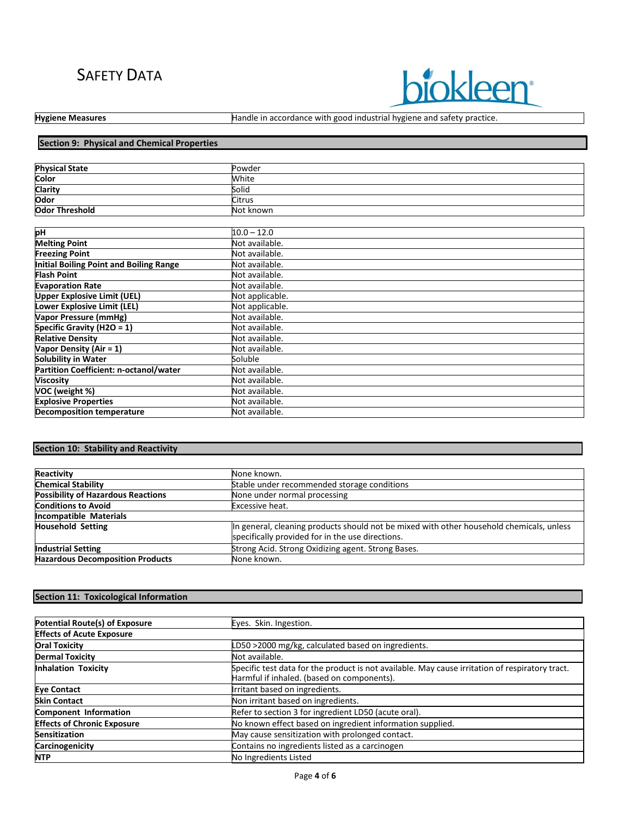# **biokleen**

Hygiene Measures **Handle in accordance with good industrial hygiene and safety practice.** 

# **Section 9: Physical and Chemical Properties**

| <b>Physical State</b> | Powder        |  |
|-----------------------|---------------|--|
| <b>Color</b>          | White         |  |
| Clarity<br>Odor       | Solid         |  |
|                       | <b>Citrus</b> |  |
| <b>Odor Threshold</b> | Not known     |  |
|                       |               |  |
| ыu                    | $100 - 120$   |  |

| pH                                      | $10.0 - 12.0$   |
|-----------------------------------------|-----------------|
| <b>Melting Point</b>                    | Not available.  |
| <b>Freezing Point</b>                   | Not available.  |
| Initial Boiling Point and Boiling Range | Not available.  |
| <b>Flash Point</b>                      | Not available.  |
| <b>Evaporation Rate</b>                 | Not available.  |
| <b>Upper Explosive Limit (UEL)</b>      | Not applicable. |
| Lower Explosive Limit (LEL)             | Not applicable. |
| <b>Vapor Pressure (mmHg)</b>            | Not available.  |
| Specific Gravity (H2O = 1)              | Not available.  |
| <b>Relative Density</b>                 | Not available.  |
| Vapor Density (Air = 1)                 | Not available.  |
| <b>Solubility in Water</b>              | Soluble         |
| Partition Coefficient: n-octanol/water  | Not available.  |
| <b>Viscosity</b>                        | Not available.  |
| VOC (weight %)                          | Not available.  |
| <b>Explosive Properties</b>             | Not available.  |
| <b>Decomposition temperature</b>        | Not available.  |

# **Section 10: Stability and Reactivity**

| Reactivity                                | None known.                                                                                                                                  |  |
|-------------------------------------------|----------------------------------------------------------------------------------------------------------------------------------------------|--|
| <b>Chemical Stability</b>                 | Stable under recommended storage conditions                                                                                                  |  |
| <b>Possibility of Hazardous Reactions</b> | None under normal processing                                                                                                                 |  |
| <b>Conditions to Avoid</b>                | Excessive heat.                                                                                                                              |  |
| Incompatible Materials                    |                                                                                                                                              |  |
| <b>Household Setting</b>                  | In general, cleaning products should not be mixed with other household chemicals, unless<br>specifically provided for in the use directions. |  |
| <b>Industrial Setting</b>                 | Strong Acid. Strong Oxidizing agent. Strong Bases.                                                                                           |  |
| <b>Hazardous Decomposition Products</b>   | None known.                                                                                                                                  |  |

# **Section 11: Toxicological Information**

| Potential Route(s) of Exposure     | Eyes. Skin. Ingestion.                                                                                                                        |  |
|------------------------------------|-----------------------------------------------------------------------------------------------------------------------------------------------|--|
| <b>Effects of Acute Exposure</b>   |                                                                                                                                               |  |
| <b>Oral Toxicity</b>               | LD50 >2000 mg/kg, calculated based on ingredients.                                                                                            |  |
| <b>Dermal Toxicity</b>             | Not available.                                                                                                                                |  |
| <b>Inhalation Toxicity</b>         | Specific test data for the product is not available. May cause irritation of respiratory tract.<br>Harmful if inhaled. (based on components). |  |
| <b>Eye Contact</b>                 | Irritant based on ingredients.                                                                                                                |  |
| <b>Skin Contact</b>                | Non irritant based on ingredients.                                                                                                            |  |
| Component Information              | Refer to section 3 for ingredient LD50 (acute oral).                                                                                          |  |
| <b>Effects of Chronic Exposure</b> | No known effect based on ingredient information supplied.                                                                                     |  |
| <b>Sensitization</b>               | May cause sensitization with prolonged contact.                                                                                               |  |
| Carcinogenicity                    | Contains no ingredients listed as a carcinogen                                                                                                |  |
| <b>NTP</b>                         | No Ingredients Listed                                                                                                                         |  |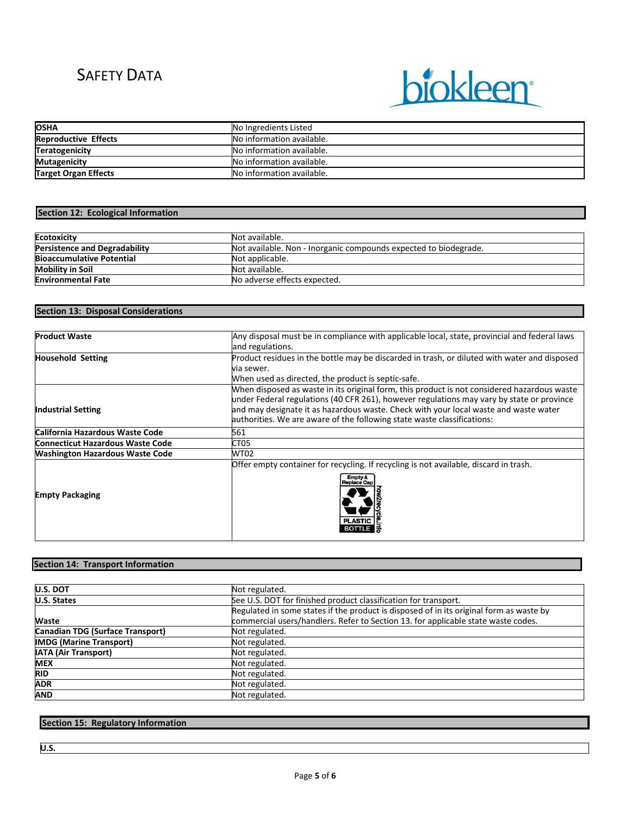

| <b>OSHA</b>                 | No Ingredients Listed     |  |
|-----------------------------|---------------------------|--|
| <b>Reproductive Effects</b> | No information available. |  |
| <b>Teratogenicity</b>       | No information available. |  |
| <b>Mutagenicity</b>         | No information available. |  |
| <b>Target Organ Effects</b> | No information available. |  |

## **Section 12: Ecological Information**

| <b>Ecotoxicity</b>                   | Not available.                                                   |  |
|--------------------------------------|------------------------------------------------------------------|--|
| <b>Persistence and Degradability</b> | Not available. Non - Inorganic compounds expected to biodegrade. |  |
| <b>Bioaccumulative Potential</b>     | Not applicable.                                                  |  |
| <b>Mobility in Soil</b>              | Not available.                                                   |  |
| <b>Environmental Fate</b>            | No adverse effects expected.                                     |  |

## **Section 13: Disposal Considerations**

| <b>Product Waste</b>                    | Any disposal must be in compliance with applicable local, state, provincial and federal laws<br>and regulations.                                                                                                                                                                                                                                            |  |  |
|-----------------------------------------|-------------------------------------------------------------------------------------------------------------------------------------------------------------------------------------------------------------------------------------------------------------------------------------------------------------------------------------------------------------|--|--|
| <b>Household Setting</b>                | Product residues in the bottle may be discarded in trash, or diluted with water and disposed<br>via sewer.<br>When used as directed, the product is septic-safe.                                                                                                                                                                                            |  |  |
| <b>Industrial Setting</b>               | When disposed as waste in its original form, this product is not considered hazardous waste<br>under Federal regulations (40 CFR 261), however regulations may vary by state or province<br>and may designate it as hazardous waste. Check with your local waste and waste water<br>authorities. We are aware of the following state waste classifications: |  |  |
| California Hazardous Waste Code         | 561                                                                                                                                                                                                                                                                                                                                                         |  |  |
| <b>Connecticut Hazardous Waste Code</b> | CT <sub>05</sub>                                                                                                                                                                                                                                                                                                                                            |  |  |
| <b>Washington Hazardous Waste Code</b>  | <b>WT02</b>                                                                                                                                                                                                                                                                                                                                                 |  |  |
| <b>Empty Packaging</b>                  | Offer empty container for recycling. If recycling is not available, discard in trash.<br>Empty &<br><b>Replace Car</b><br><b>PLASTIC</b>                                                                                                                                                                                                                    |  |  |

# **Section 14: Transport Information**

| U.S. DOT                         | Not regulated.                                                                          |  |
|----------------------------------|-----------------------------------------------------------------------------------------|--|
| U.S. States                      | See U.S. DOT for finished product classification for transport.                         |  |
|                                  | Regulated in some states if the product is disposed of in its original form as waste by |  |
| <b>Waste</b>                     | commercial users/handlers. Refer to Section 13. for applicable state waste codes.       |  |
| Canadian TDG (Surface Transport) | Not regulated.                                                                          |  |
| <b>IMDG (Marine Transport)</b>   | Not regulated.                                                                          |  |
| <b>IATA (Air Transport)</b>      | Not regulated.                                                                          |  |
| <b>MEX</b>                       | Not regulated.                                                                          |  |
| <b>RID</b>                       | Not regulated.                                                                          |  |
| <b>ADR</b>                       | Not regulated.                                                                          |  |
| AND                              | Not regulated.                                                                          |  |

# **Section 15: Regulatory Information**